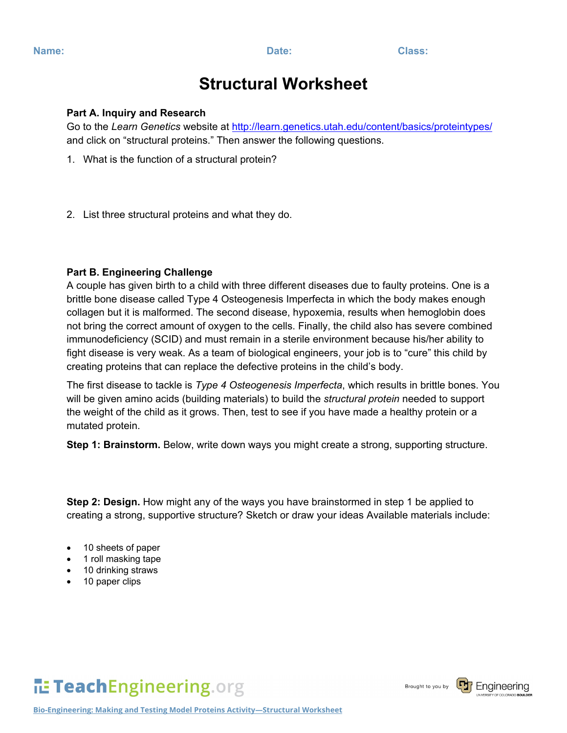## **Structural Worksheet**

#### **Part A. Inquiry and Research**

Go to the *Learn Genetics* website at<http://learn.genetics.utah.edu/content/basics/proteintypes/> and click on "structural proteins." Then answer the following questions.

- 1. What is the function of a structural protein?
- 2. List three structural proteins and what they do.

## **Part B. Engineering Challenge**

A couple has given birth to a child with three different diseases due to faulty proteins. One is a brittle bone disease called Type 4 Osteogenesis Imperfecta in which the body makes enough collagen but it is malformed. The second disease, hypoxemia, results when hemoglobin does not bring the correct amount of oxygen to the cells. Finally, the child also has severe combined immunodeficiency (SCID) and must remain in a sterile environment because his/her ability to fight disease is very weak. As a team of biological engineers, your job is to "cure" this child by creating proteins that can replace the defective proteins in the child's body.

The first disease to tackle is *Type 4 Osteogenesis Imperfecta*, which results in brittle bones. You will be given amino acids (building materials) to build the *structural protein* needed to support the weight of the child as it grows. Then, test to see if you have made a healthy protein or a mutated protein.

**Step 1: Brainstorm.** Below, write down ways you might create a strong, supporting structure.

**Step 2: Design.** How might any of the ways you have brainstormed in step 1 be applied to creating a strong, supportive structure? Sketch or draw your ideas Available materials include:

- 10 sheets of paper
- 1 roll masking tape
- 10 drinking straws
- 10 paper clips

# TeachEngineering.org

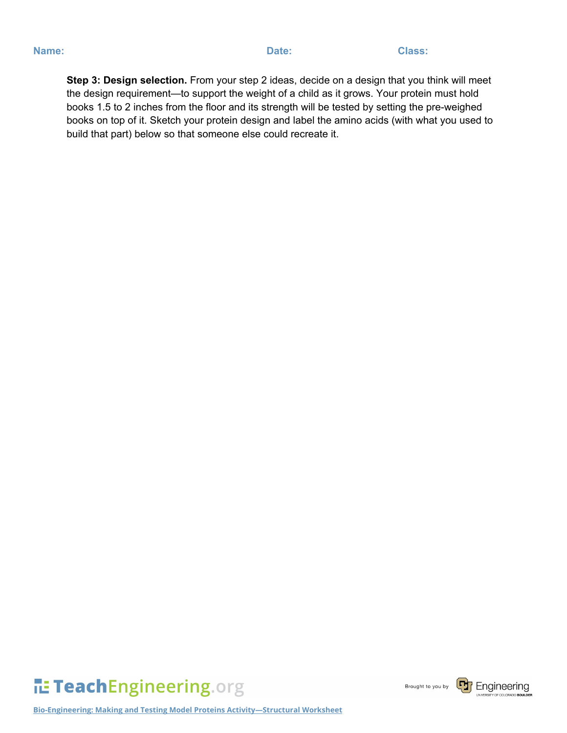**Step 3: Design selection.** From your step 2 ideas, decide on a design that you think will meet the design requirement—to support the weight of a child as it grows. Your protein must hold books 1.5 to 2 inches from the floor and its strength will be tested by setting the pre-weighed books on top of it. Sketch your protein design and label the amino acids (with what you used to build that part) below so that someone else could recreate it.



Brought to you by

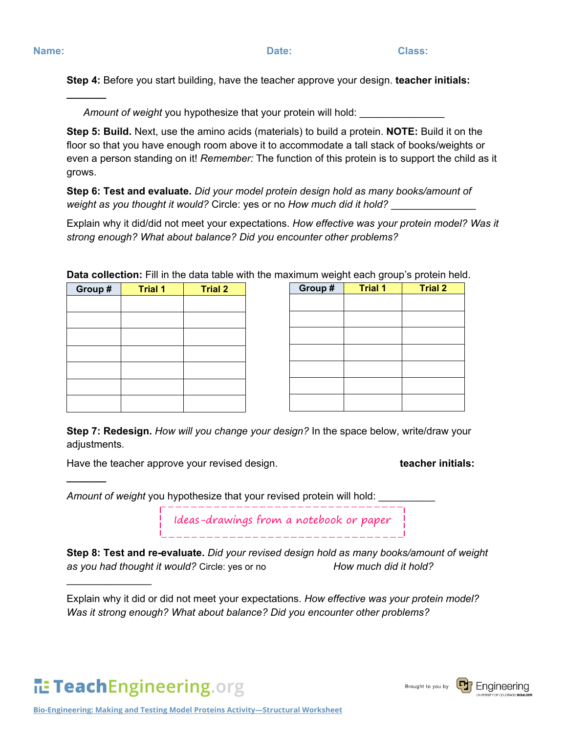**\_\_\_\_\_\_\_**

**\_\_\_\_\_\_\_**

 $\frac{1}{2}$ 

**Step 4:** Before you start building, have the teacher approve your design. **teacher initials:** 

Amount of weight you hypothesize that your protein will hold:

**Step 5: Build.** Next, use the amino acids (materials) to build a protein. **NOTE:** Build it on the floor so that you have enough room above it to accommodate a tall stack of books/weights or even a person standing on it! *Remember:* The function of this protein is to support the child as it grows.

**Step 6: Test and evaluate.** *Did your model protein design hold as many books/amount of weight as you thought it would?* Circle: yes or no *How much did it hold?* \_\_\_\_\_\_\_\_\_\_\_\_\_\_\_

Explain why it did/did not meet your expectations. *How effective was your protein model? Was it strong enough? What about balance? Did you encounter other problems?*

| - - -<br>___ |                |                |  | ັ<br>ັ<br>$\sim$<br>. . |                |  |
|--------------|----------------|----------------|--|-------------------------|----------------|--|
| Group #      | <b>Trial 1</b> | <b>Trial 2</b> |  | Group#                  | <b>Trial 1</b> |  |
|              |                |                |  |                         |                |  |
|              |                |                |  |                         |                |  |
|              |                |                |  |                         |                |  |
|              |                |                |  |                         |                |  |
|              |                |                |  |                         |                |  |
|              |                |                |  |                         |                |  |
|              |                |                |  |                         |                |  |
|              |                |                |  |                         |                |  |
|              |                |                |  |                         |                |  |
|              |                |                |  |                         |                |  |

**Data collection:** Fill in the data table with the maximum weight each group's protein held.

**Step 7: Redesign.** *How will you change your design?* In the space below, write/draw your adiustments.

Have the teacher approve your revised design. **the end of the teacher initials: teacher initials:** 

*Amount of weight* you hypothesize that your revised protein will hold: \_\_\_\_\_\_\_\_\_\_

Ideas-drawings from a notebook or paper

**Step 8: Test and re-evaluate.** *Did your revised design hold as many books/amount of weight as you had thought it would?* Circle: yes or no *How much did it hold?*

## TeachEngineering.org



Explain why it did or did not meet your expectations. *How effective was your protein model? Was it strong enough? What about balance? Did you encounter other problems?*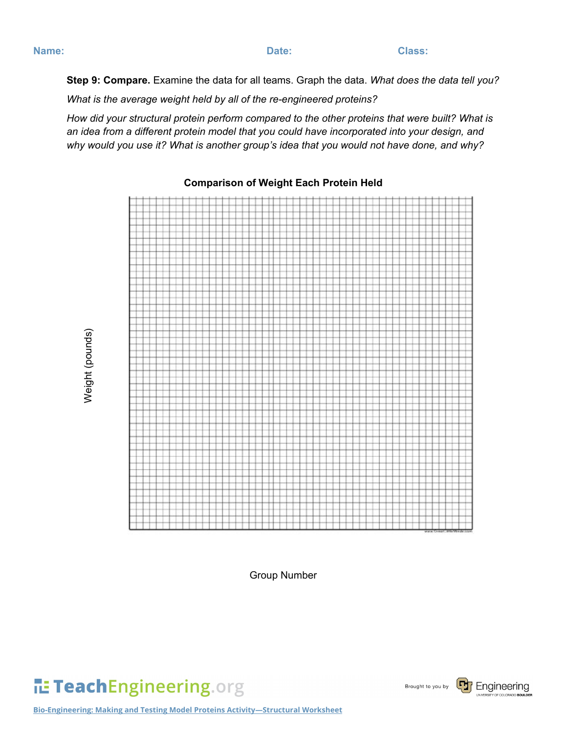Weight (pounds)

Weight (pounds)

**Step 9: Compare.** Examine the data for all teams. Graph the data. *What does the data tell you?*

*What is the average weight held by all of the re-engineered proteins?*

*How did your structural protein perform compared to the other proteins that were built? What is an idea from a different protein model that you could have incorporated into your design, and why would you use it? What is another group's idea that you would not have done, and why?*



### **Comparison of Weight Each Protein Held**

Group Number

TeachEngineering.org



**Bio-Engineering: Making and Testing Model Proteins Activity—Structural Worksheet**